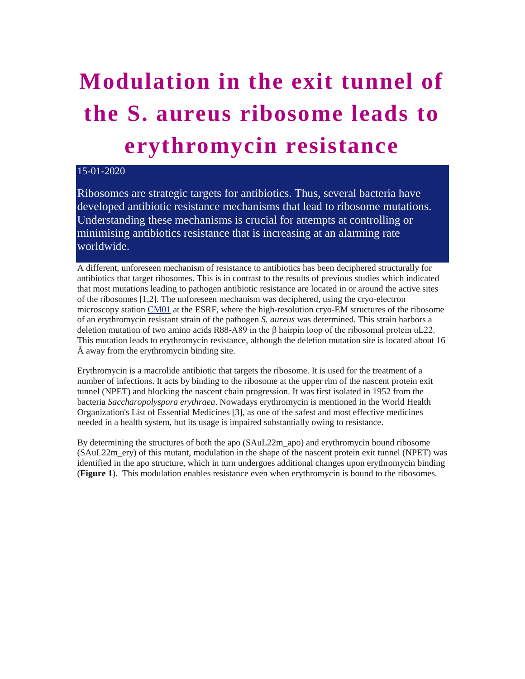## **Modulation in the exit tunnel of the S. aureus ribosome leads to erythromycin resistance**

## 15-01-2020

Ribosomes are strategic targets for antibiotics. Thus, several bacteria have developed antibiotic resistance mechanisms that lead to ribosome mutations. Understanding these mechanisms is crucial for attempts at controlling or minimising antibiotics resistance that is increasing at an alarming rate worldwide.

A different, unforeseen mechanism of resistance to antibiotics has been deciphered structurally for antibiotics that target ribosomes. This is in contrast to the results of previous studies which indicated that most mutations leading to pathogen antibiotic resistance are located in or around the active sites of the ribosomes [1,2]. The unforeseen mechanism was deciphered, using the cryo-electron microscopy station [CM01](https://www.esrf.eu/home/UsersAndScience/Experiments/MX/About_our_beamlines/CM01.html) at the ESRF, where the high-resolution cryo-EM structures of the ribosome of an erythromycin resistant strain of the pathogen *S. aureus* was determined*.* This strain harbors a deletion mutation of two amino acids R88-A89 in the β hairpin loop of the ribosomal protein uL22. This mutation leads to erythromycin resistance, although the deletion mutation site is located about 16 Å away from the erythromycin binding site.

Erythromycin is a macrolide antibiotic that targets the ribosome. It is used for the treatment of a number of infections. It acts by binding to the ribosome at the upper rim of the nascent protein exit tunnel (NPET) and blocking the nascent chain progression. It was first isolated in 1952 from the bacteria *Saccharopolyspora erythraea*. Nowadays erythromycin is mentioned in the World Health Organization's List of Essential Medicines [3], as one of the safest and most effective medicines needed in a health system, but its usage is impaired substantially owing to resistance.

By determining the structures of both the apo (SAuL22m\_apo) and erythromycin bound ribosome (SAuL22m\_ery) of this mutant, modulation in the shape of the nascent protein exit tunnel (NPET) was identified in the apo structure, which in turn undergoes additional changes upon erythromycin binding (**Figure 1**). This modulation enables resistance even when erythromycin is bound to the ribosomes.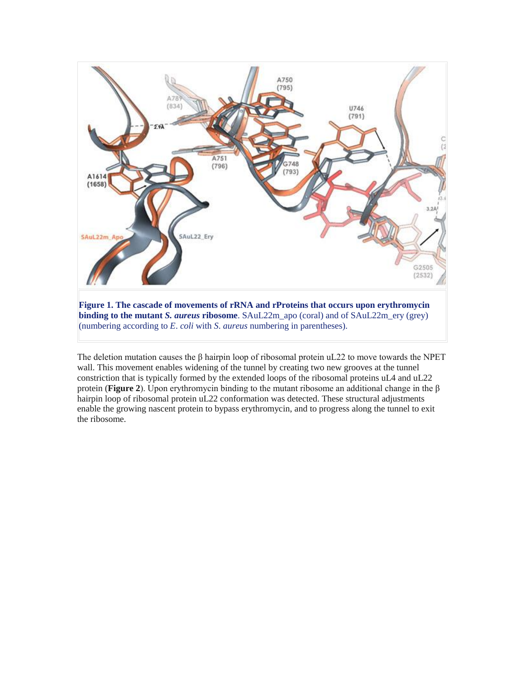

**Figure 1. The cascade of movements of rRNA and rProteins that occurs upon erythromycin binding to the mutant** *S. aureus* **ribosome**. SAuL22m\_apo (coral) and of SAuL22m\_ery (grey) (numbering according to *E*. *coli* with *S*. *aureus* numbering in parentheses).

The deletion mutation causes the  $\beta$  hairpin loop of ribosomal protein uL22 to move towards the NPET wall. This movement enables widening of the tunnel by creating two new grooves at the tunnel constriction that is typically formed by the extended loops of the ribosomal proteins uL4 and uL22 protein (**Figure 2**). Upon erythromycin binding to the mutant ribosome an additional change in the β hairpin loop of ribosomal protein uL22 conformation was detected. These structural adjustments enable the growing nascent protein to bypass erythromycin, and to progress along the tunnel to exit the ribosome.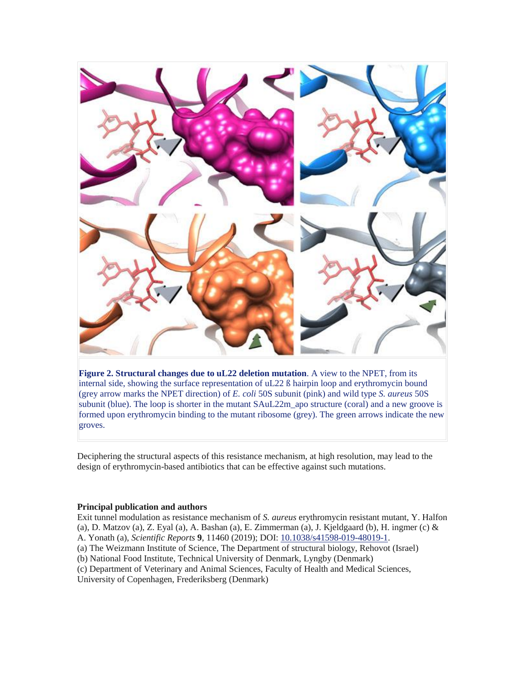

**Figure 2. Structural changes due to uL22 deletion mutation**. A view to the NPET, from its internal side, showing the surface representation of uL22 ß hairpin loop and erythromycin bound (grey arrow marks the NPET direction) of *E. coli* 50S subunit (pink) and wild type *S. aureus* 50S subunit (blue). The loop is shorter in the mutant SAuL22m\_apo structure (coral) and a new groove is formed upon erythromycin binding to the mutant ribosome (grey). The green arrows indicate the new groves.

Deciphering the structural aspects of this resistance mechanism, at high resolution, may lead to the design of erythromycin-based antibiotics that can be effective against such mutations.

## **Principal publication and authors**

Exit tunnel modulation as resistance mechanism of *S. aureus* erythromycin resistant mutant, Y. Halfon (a), D. Matzov (a), Z. Eyal (a), A. Bashan (a), E. Zimmerman (a), J. Kjeldgaard (b), H. ingmer (c)  $\&$ A. Yonath (a), *Scientific Reports* **9**, 11460 (2019); DOI: [10.1038/s41598-019-48019-1.](http://dx.doi.org/10.1038/s41598-019-48019-1) (a) The Weizmann Institute of Science, The Department of structural biology, Rehovot (Israel) (b) National Food Institute, Technical University of Denmark, Lyngby (Denmark)

(c) Department of Veterinary and Animal Sciences, Faculty of Health and Medical Sciences,

University of Copenhagen, Frederiksberg (Denmark)